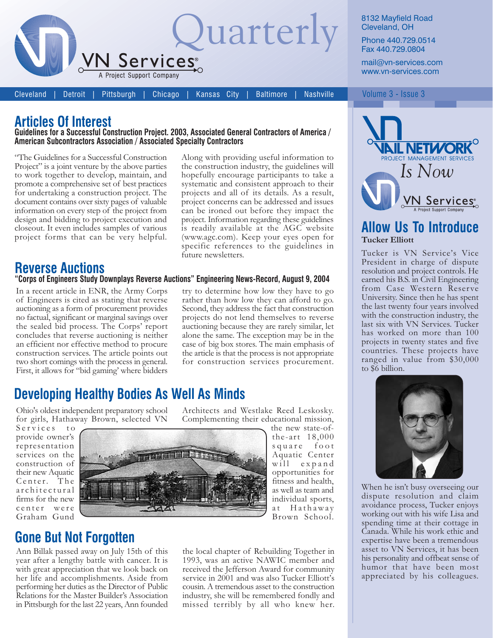

8132 Mayfield Road Cleveland, OH

Phone 440.729.0514 Fax 440.729.0804

mail@vn-services.com www.vn-services.com

**Cleveland Detroit** 

Chicago Pittsburgh

Kansas City **Baltimore** 

Along with providing useful information to

the construction industry, the guidelines will

hopefully encourage participants to take a systematic and consistent approach to their

projects and all of its details. As a result,

project concerns can be addressed and issues

can be ironed out before they impact the

### **Articles Of Interest**

#### Guidelines for a Successful Construction Project. 2003, Associated General Contractors of America / American Subcontractors Association / Associated Specialty Contractors

"The Guidelines for a Successful Construction" Project" is a joint venture by the above parties to work together to develop, maintain, and promote a comprehensive set of best practices for undertaking a construction project. The document contains over sixty pages of valuable information on every step of the project from design and bidding to project execution and closeout. It even includes samples of various project forms that can be very helpful.

## **Reverse Auctions**

#### "Corps of Engineers Study Downplays Reverse Auctions" Engineering News-Record, August 9, 2004

In a recent article in ENR, the Army Corps of Engineers is cited as stating that reverse auctioning as a form of procurement provides no factual, significant or marginal savings over the sealed bid process. The Corps' report concludes that reverse auctioning is neither an efficient nor effective method to procure construction services. The article points out two short comings with the process in general. First, it allows for "bid gaming' where bidders

project. Information regarding these guidelines is readily available at the AGC website (www.agc.com). Keep your eyes open for specific references to the guidelines in future newsletters. try to determine how low they have to go rather than how low they can afford to go. Second, they address the fact that construction projects do not lend themselves to reverse auctioning because they are rarely similar, let

alone the same. The exception may be in the case of big box stores. The main emphasis of the article is that the process is not appropriate for construction services procurement.

Architects and Westlake Reed Leskosky.

# **Developing Healthy Bodies As Well As Minds**

Ohio's oldest independent preparatory school for girls, Hathaway Brown, selected VN

Services to provide owner's representation services on the construction of their new Aquatic Center. The architectural firms for the new center were Graham Gund



Complementing their educational mission, the new state-ofthe-art  $18,000$ square foot Aquatic Center

will expand opportunities for fitness and health, as well as team and individual sports, at Hathaway Brown School.

## **Gone But Not Forgotten**

Ann Billak passed away on July 15th of this year after a lengthy battle with cancer. It is with great appreciation that we look back on her life and accomplishments. Aside from performing her duties as the Director of Public Relations for the Master Builder's Association in Pittsburgh for the last 22 years, Ann founded the local chapter of Rebuilding Together in 1993, was an active NAWIC member and received the Jefferson Award for community service in 2001 and was also Tucker Elliott's cousin. A tremendous asset to the construction industry, she will be remembered fondly and missed terribly by all who knew her.

#### Volume 3 - Issue 3



#### **Allow Us To Introduce Tucker Elliott**

Tucker is VN Service's Vice President in charge of dispute resolution and project controls. He earned his B.S. in Civil Engineering from Case Western Reserve University. Since then he has spent the last twenty four years involved with the construction industry, the last six with VN Services. Tucker has worked on more than 100 projects in twenty states and five countries. These projects have ranged in value from \$30,000 to \$6 billion.



When he isn't busy overseeing our dispute resolution and claim avoidance process, Tucker enjoys working out with his wife Lisa and spending time at their cottage in Canada. While his work ethic and expertise have been a tremendous asset to VN Services, it has been his personality and offbeat sense of humor that have been most appreciated by his colleagues.